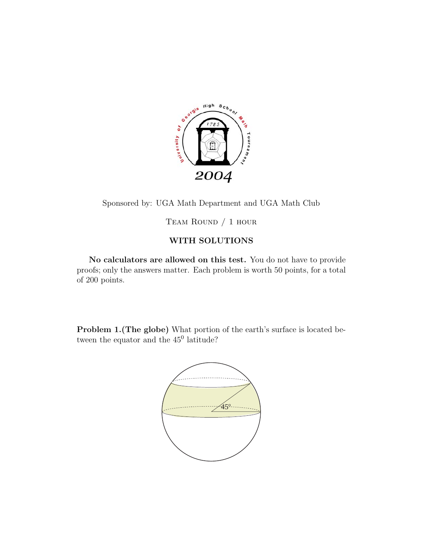

Sponsored by: UGA Math Department and UGA Math Club

Team Round / 1 hour

## **WITH SOLUTIONS**

**No calculators are allowed on this test.** You do not have to provide proofs; only the answers matter. Each problem is worth 50 points, for a total of 200 points.

**Problem 1.(The globe)** What portion of the earth's surface is located between the equator and the  $45^{\circ}$  latitude?

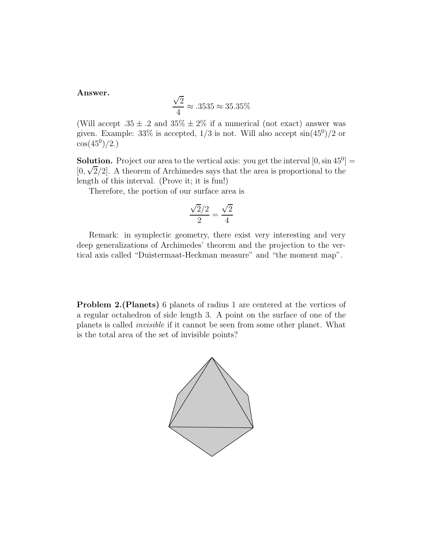## **Answer.**

$$
\frac{\sqrt{2}}{4} \approx .3535 \approx 35.35\%
$$

(Will accept  $.35 \pm .2$  and  $35\% \pm 2\%$  if a numerical (not exact) answer was given. Example:  $33\%$  is accepted,  $1/3$  is not. Will also accept  $\sin(45^\circ)/2$  or  $\cos(45^0)/2.$ 

**Solution.** Project our area to the vertical axis: you get the interval  $[0, \sin 45^\circ]$  =  $[0, \sqrt{2}/2]$ . A theorem of Archimedes says that the area is proportional to the length of this interval. (Prove it; it is fun!)

Therefore, the portion of our surface area is

$$
\frac{\sqrt{2}/2}{2} = \frac{\sqrt{2}}{4}
$$

Remark: in symplectic geometry, there exist very interesting and very deep generalizations of Archimedes' theorem and the projection to the vertical axis called "Duistermaat-Heckman measure" and "the moment map".

**Problem 2.(Planets)** 6 planets of radius 1 are centered at the vertices of a regular octahedron of side length 3. A point on the surface of one of the planets is called *invisible* if it cannot be seen from some other planet. What is the total area of the set of invisible points?

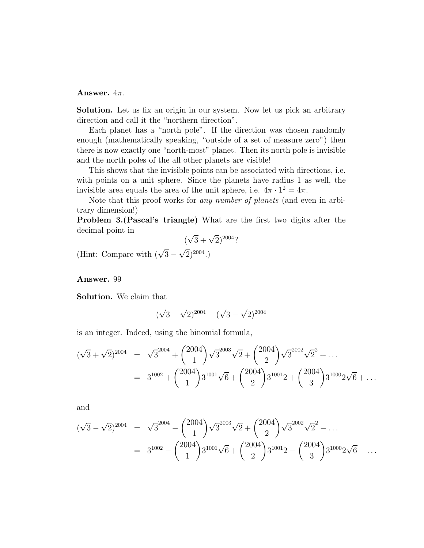## **Answer.**  $4\pi$ .

**Solution.** Let us fix an origin in our system. Now let us pick an arbitrary direction and call it the "northern direction".

Each planet has a "north pole". If the direction was chosen randomly enough (mathematically speaking, "outside of a set of measure zero") then there is now exactly one "north-most" planet. Then its north pole is invisible and the north poles of the all other planets are visible!

This shows that the invisible points can be associated with directions, i.e. with points on a unit sphere. Since the planets have radius 1 as well, the invisible area equals the area of the unit sphere, i.e.  $4\pi \cdot 1^2 = 4\pi$ .

Note that this proof works for *any number of planets* (and even in arbitrary dimension!)

**Problem 3.(Pascal's triangle)** What are the first two digits after the decimal point in

$$
(\sqrt{3} + \sqrt{2})^{2004}
$$
?

(Hint: Compare with  $(\sqrt{3} - \sqrt{2})^{2004}$ .)

**Answer.** 99

**Solution.** We claim that

$$
(\sqrt{3} + \sqrt{2})^{2004} + (\sqrt{3} - \sqrt{2})^{2004}
$$

is an integer. Indeed, using the binomial formula,

$$
(\sqrt{3} + \sqrt{2})^{2004} = \sqrt{3}^{2004} + {2004 \choose 1} \sqrt{3}^{2003} \sqrt{2} + {2004 \choose 2} \sqrt{3}^{2002} \sqrt{2}^2 + \dots
$$
  
=  $3^{1002} + {2004 \choose 1} 3^{1001} \sqrt{6} + {2004 \choose 2} 3^{1001} 2 + {2004 \choose 3} 3^{1000} 2 \sqrt{6} + \dots$ 

and

$$
(\sqrt{3} - \sqrt{2})^{2004} = \sqrt{3}^{2004} - {2004 \choose 1} \sqrt{3}^{2003} \sqrt{2} + {2004 \choose 2} \sqrt{3}^{2002} \sqrt{2}^{2} - \dots
$$
  
=  $3^{1002} - {2004 \choose 1} 3^{1001} \sqrt{6} + {2004 \choose 2} 3^{1001} 2 - {2004 \choose 3} 3^{1000} 2 \sqrt{6} + \dots$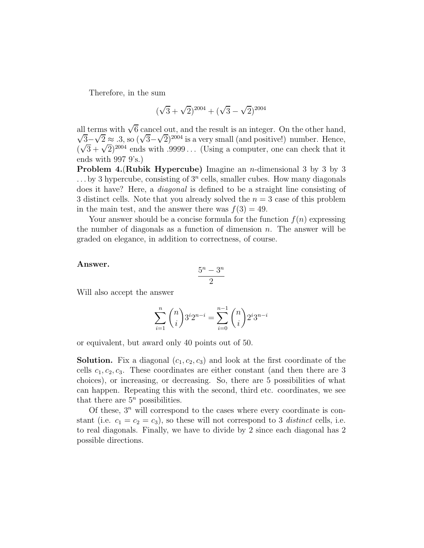Therefore, in the sum

$$
(\sqrt{3} + \sqrt{2})^{2004} + (\sqrt{3} - \sqrt{2})^{2004}
$$

all terms with  $\sqrt{6}$  cancel out, and the result is an integer. On the other hand,  $\sqrt{3}-\sqrt{2} \approx .3$ , so  $(\sqrt{3}-\sqrt{2})^{2004}$  is a very small (and positive!) number. Hence,  $(\sqrt{3} + \sqrt{2})^{2004}$  ends with .9999... (Using a computer, one can check that it ends with 997 9's.)

**Problem 4.**(**Rubik Hypercube)** Imagine an n-dimensional 3 by 3 by 3 . . . by 3 hypercube, consisting of 3*<sup>n</sup>* cells, smaller cubes. How many diagonals does it have? Here, a *diagonal* is defined to be a straight line consisting of 3 distinct cells. Note that you already solved the  $n = 3$  case of this problem in the main test, and the answer there was  $f(3) = 49$ .

Your answer should be a concise formula for the function  $f(n)$  expressing the number of diagonals as a function of dimension  $n$ . The answer will be graded on elegance, in addition to correctness, of course.

## **Answer.**

$$
\frac{5^n - 3^n}{2}
$$

Will also accept the answer

$$
\sum_{i=1}^{n} {n \choose i} 3^{i} 2^{n-i} = \sum_{i=0}^{n-1} {n \choose i} 2^{i} 3^{n-i}
$$

or equivalent, but award only 40 points out of 50.

**Solution.** Fix a diagonal  $(c_1, c_2, c_3)$  and look at the first coordinate of the cells  $c_1, c_2, c_3$ . These coordinates are either constant (and then there are 3 choices), or increasing, or decreasing. So, there are 5 possibilities of what can happen. Repeating this with the second, third etc. coordinates, we see that there are  $5<sup>n</sup>$  possibilities.

Of these,  $3<sup>n</sup>$  will correspond to the cases where every coordinate is constant (i.e.  $c_1 = c_2 = c_3$ ), so these will not correspond to 3 *distinct* cells, i.e. to real diagonals. Finally, we have to divide by 2 since each diagonal has 2 possible directions.